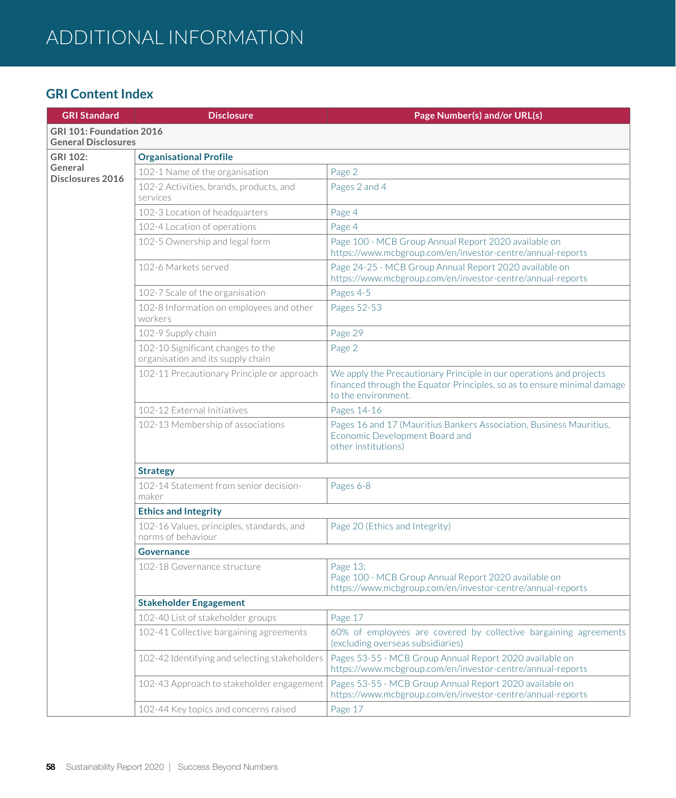| <b>GRI Standard</b>                                    | <b>Disclosure</b>                                                      | Page Number(s) and/or URL(s)                                                                                                                                          |  |
|--------------------------------------------------------|------------------------------------------------------------------------|-----------------------------------------------------------------------------------------------------------------------------------------------------------------------|--|
| GRI 101: Foundation 2016<br><b>General Disclosures</b> |                                                                        |                                                                                                                                                                       |  |
| GRI 102:                                               | <b>Organisational Profile</b>                                          |                                                                                                                                                                       |  |
| General<br><b>Disclosures 2016</b>                     | 102-1 Name of the organisation                                         | Page 2                                                                                                                                                                |  |
|                                                        | 102-2 Activities, brands, products, and<br>services                    | Pages 2 and 4                                                                                                                                                         |  |
|                                                        | 102-3 Location of headquarters                                         | Page 4                                                                                                                                                                |  |
|                                                        | 102-4 Location of operations                                           | Page 4                                                                                                                                                                |  |
|                                                        | 102-5 Ownership and legal form                                         | Page 100 - MCB Group Annual Report 2020 available on<br>https://www.mcbgroup.com/en/investor-centre/annual-reports                                                    |  |
|                                                        | 102-6 Markets served                                                   | Page 24-25 - MCB Group Annual Report 2020 available on<br>https://www.mcbgroup.com/en/investor-centre/annual-reports                                                  |  |
|                                                        | 102-7 Scale of the organisation                                        | Pages 4-5                                                                                                                                                             |  |
|                                                        | 102-8 Information on employees and other<br>workers                    | Pages 52-53                                                                                                                                                           |  |
|                                                        | 102-9 Supply chain                                                     | Page 29                                                                                                                                                               |  |
|                                                        | 102-10 Significant changes to the<br>organisation and its supply chain | Page 2                                                                                                                                                                |  |
|                                                        | 102-11 Precautionary Principle or approach                             | We apply the Precautionary Principle in our operations and projects<br>financed through the Equator Principles, so as to ensure minimal damage<br>to the environment. |  |
|                                                        | 102-12 External Initiatives                                            | Pages 14-16                                                                                                                                                           |  |
|                                                        | 102-13 Membership of associations                                      | Pages 16 and 17 (Mauritius Bankers Association, Business Mauritius,<br>Economic Development Board and<br>other institutions)                                          |  |
|                                                        | <b>Strategy</b>                                                        |                                                                                                                                                                       |  |
|                                                        | 102-14 Statement from senior decision-<br>maker                        | Pages 6-8                                                                                                                                                             |  |
|                                                        | <b>Ethics and Integrity</b>                                            |                                                                                                                                                                       |  |
|                                                        | 102-16 Values, principles, standards, and<br>norms of behaviour        | Page 20 (Ethics and Integrity)                                                                                                                                        |  |
|                                                        | <b>Governance</b>                                                      |                                                                                                                                                                       |  |
|                                                        | 102-18 Governance structure                                            | Page 13;<br>Page 100 - MCB Group Annual Report 2020 available on<br>https://www.mcbgroup.com/en/investor-centre/annual-reports                                        |  |
|                                                        | <b>Stakeholder Engagement</b>                                          |                                                                                                                                                                       |  |
|                                                        | 102-40 List of stakeholder groups                                      | Page 17                                                                                                                                                               |  |
|                                                        | 102-41 Collective bargaining agreements                                | 60% of employees are covered by collective bargaining agreements<br>(excluding overseas subsidiaries)                                                                 |  |
|                                                        | 102-42 Identifying and selecting stakeholders                          | Pages 53-55 - MCB Group Annual Report 2020 available on<br>https://www.mcbgroup.com/en/investor-centre/annual-reports                                                 |  |
|                                                        | 102-43 Approach to stakeholder engagement                              | Pages 53-55 - MCB Group Annual Report 2020 available on<br>https://www.mcbgroup.com/en/investor-centre/annual-reports                                                 |  |
|                                                        | 102-44 Key topics and concerns raised                                  | Page 17                                                                                                                                                               |  |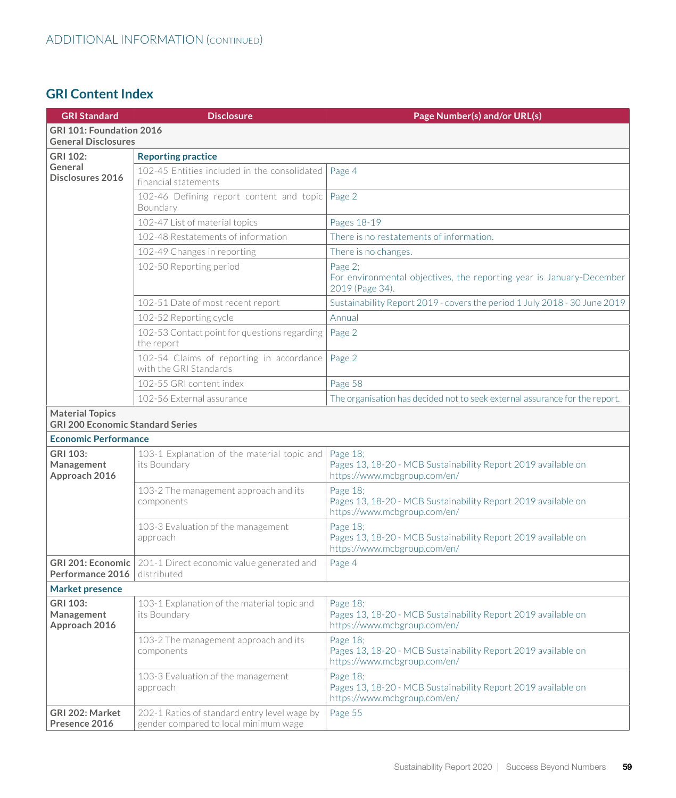| <b>GRI Standard</b>                                               | <b>Disclosure</b>                                                                     | Page Number(s) and/or URL(s)                                                                              |
|-------------------------------------------------------------------|---------------------------------------------------------------------------------------|-----------------------------------------------------------------------------------------------------------|
| GRI 101: Foundation 2016<br><b>General Disclosures</b>            |                                                                                       |                                                                                                           |
| <b>GRI 102:</b>                                                   | <b>Reporting practice</b>                                                             |                                                                                                           |
| General<br>Disclosures 2016                                       | 102-45 Entities included in the consolidated<br>financial statements                  | Page 4                                                                                                    |
|                                                                   | 102-46 Defining report content and topic<br>Boundary                                  | Page 2                                                                                                    |
|                                                                   | 102-47 List of material topics                                                        | Pages 18-19                                                                                               |
|                                                                   | 102-48 Restatements of information                                                    | There is no restatements of information.                                                                  |
|                                                                   | 102-49 Changes in reporting                                                           | There is no changes.                                                                                      |
|                                                                   | 102-50 Reporting period                                                               | Page 2;<br>For environmental objectives, the reporting year is January-December<br>2019 (Page 34).        |
|                                                                   | 102-51 Date of most recent report                                                     | Sustainability Report 2019 - covers the period 1 July 2018 - 30 June 2019                                 |
|                                                                   | 102-52 Reporting cycle                                                                | Annual                                                                                                    |
|                                                                   | 102-53 Contact point for questions regarding<br>the report                            | Page 2                                                                                                    |
|                                                                   | 102-54 Claims of reporting in accordance<br>with the GRI Standards                    | Page 2                                                                                                    |
|                                                                   | 102-55 GRI content index                                                              | Page 58                                                                                                   |
|                                                                   | 102-56 External assurance                                                             | The organisation has decided not to seek external assurance for the report.                               |
| <b>Material Topics</b><br><b>GRI 200 Economic Standard Series</b> |                                                                                       |                                                                                                           |
| <b>Economic Performance</b>                                       |                                                                                       |                                                                                                           |
| GRI 103:<br>Management<br>Approach 2016                           | 103-1 Explanation of the material topic and<br>its Boundary                           | Page 18;<br>Pages 13, 18-20 - MCB Sustainability Report 2019 available on<br>https://www.mcbgroup.com/en/ |
|                                                                   | 103-2 The management approach and its<br>components                                   | Page 18;<br>Pages 13, 18-20 - MCB Sustainability Report 2019 available on<br>https://www.mcbgroup.com/en/ |
|                                                                   | 103-3 Evaluation of the management<br>approach                                        | Page 18;<br>Pages 13, 18-20 - MCB Sustainability Report 2019 available on<br>https://www.mcbgroup.com/en/ |
| <b>GRI 201: Economic</b><br>Performance 2016                      | 201-1 Direct economic value generated and<br>distributed                              | Page 4                                                                                                    |
| <b>Market presence</b>                                            |                                                                                       |                                                                                                           |
| GRI 103:<br>Management<br>Approach 2016                           | 103-1 Explanation of the material topic and<br>its Boundary                           | Page 18;<br>Pages 13, 18-20 - MCB Sustainability Report 2019 available on<br>https://www.mcbgroup.com/en/ |
|                                                                   | 103-2 The management approach and its<br>components                                   | Page 18;<br>Pages 13, 18-20 - MCB Sustainability Report 2019 available on<br>https://www.mcbgroup.com/en/ |
|                                                                   | 103-3 Evaluation of the management<br>approach                                        | Page 18;<br>Pages 13, 18-20 - MCB Sustainability Report 2019 available on<br>https://www.mcbgroup.com/en/ |
| GRI 202: Market<br>Presence 2016                                  | 202-1 Ratios of standard entry level wage by<br>gender compared to local minimum wage | Page 55                                                                                                   |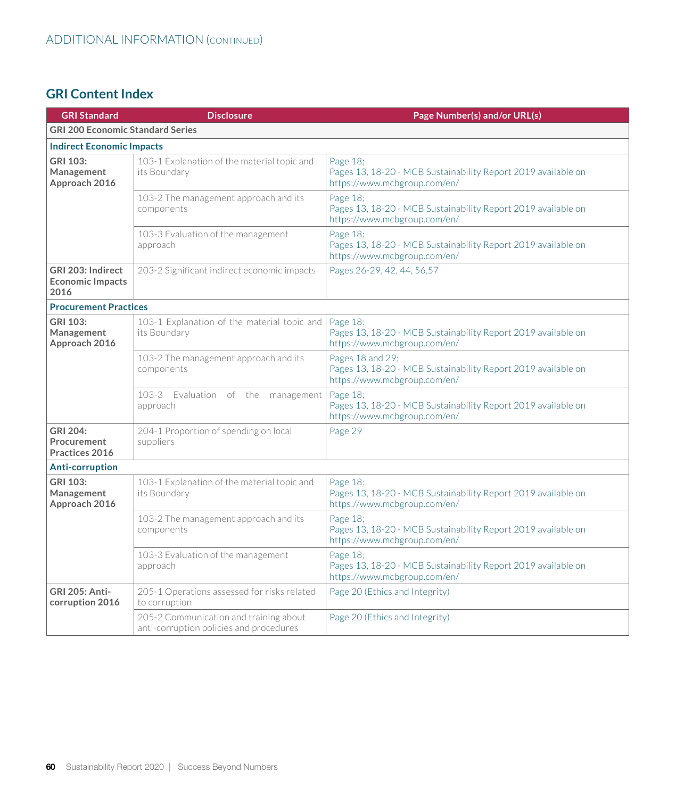| <b>GRI Standard</b>                                  | <b>Disclosure</b>                                                                 | Page Number(s) and/or URL(s)                                                                                      |
|------------------------------------------------------|-----------------------------------------------------------------------------------|-------------------------------------------------------------------------------------------------------------------|
| <b>GRI 200 Economic Standard Series</b>              |                                                                                   |                                                                                                                   |
| <b>Indirect Economic Impacts</b>                     |                                                                                   |                                                                                                                   |
| <b>GRI 103:</b><br>Management<br>Approach 2016       | 103-1 Explanation of the material topic and<br>its Boundary                       | Page 18;<br>Pages 13, 18-20 - MCB Sustainability Report 2019 available on<br>https://www.mcbgroup.com/en/         |
|                                                      | 103-2 The management approach and its<br>components                               | Page 18;<br>Pages 13, 18-20 - MCB Sustainability Report 2019 available on<br>https://www.mcbgroup.com/en/         |
|                                                      | 103-3 Evaluation of the management<br>approach                                    | Page 18;<br>Pages 13, 18-20 - MCB Sustainability Report 2019 available on<br>https://www.mcbgroup.com/en/         |
| GRI 203: Indirect<br><b>Economic Impacts</b><br>2016 | 203-2 Significant indirect economic impacts                                       | Pages 26-29, 42, 44, 56, 57                                                                                       |
| <b>Procurement Practices</b>                         |                                                                                   |                                                                                                                   |
| GRI 103:<br>Management<br>Approach 2016              | 103-1 Explanation of the material topic and<br>its Boundary                       | Page 18;<br>Pages 13, 18-20 - MCB Sustainability Report 2019 available on<br>https://www.mcbgroup.com/en/         |
|                                                      | 103-2 The management approach and its<br>components                               | Pages 18 and 29;<br>Pages 13, 18-20 - MCB Sustainability Report 2019 available on<br>https://www.mcbgroup.com/en/ |
|                                                      | 103-3 Evaluation of the management<br>approach                                    | Page 18;<br>Pages 13, 18-20 - MCB Sustainability Report 2019 available on<br>https://www.mcbgroup.com/en/         |
| GRI 204:<br>Procurement<br>Practices 2016            | 204-1 Proportion of spending on local<br>suppliers                                | Page 29                                                                                                           |
| <b>Anti-corruption</b>                               |                                                                                   |                                                                                                                   |
| <b>GRI 103:</b><br>Management<br>Approach 2016       | 103-1 Explanation of the material topic and<br>its Boundary                       | Page 18;<br>Pages 13, 18-20 - MCB Sustainability Report 2019 available on<br>https://www.mcbgroup.com/en/         |
|                                                      | 103-2 The management approach and its<br>components                               | Page 18;<br>Pages 13, 18-20 - MCB Sustainability Report 2019 available on<br>https://www.mcbgroup.com/en/         |
|                                                      | 103-3 Evaluation of the management<br>approach                                    | Page 18;<br>Pages 13, 18-20 - MCB Sustainability Report 2019 available on<br>https://www.mcbgroup.com/en/         |
| <b>GRI 205: Anti-</b><br>corruption 2016             | 205-1 Operations assessed for risks related<br>to corruption                      | Page 20 (Ethics and Integrity)                                                                                    |
|                                                      | 205-2 Communication and training about<br>anti-corruption policies and procedures | Page 20 (Ethics and Integrity)                                                                                    |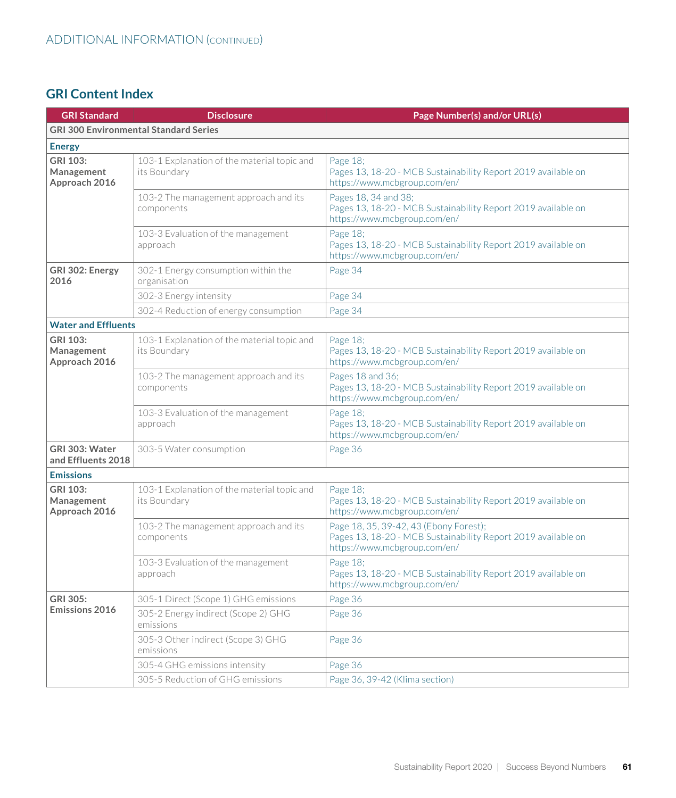| <b>GRI Standard</b>                                                        | <b>Disclosure</b>                                           | Page Number(s) and/or URL(s)                                                                                                            |
|----------------------------------------------------------------------------|-------------------------------------------------------------|-----------------------------------------------------------------------------------------------------------------------------------------|
|                                                                            | <b>GRI 300 Environmental Standard Series</b>                |                                                                                                                                         |
| <b>Energy</b>                                                              |                                                             |                                                                                                                                         |
| GRI 103:<br>Management<br>Approach 2016                                    | 103-1 Explanation of the material topic and<br>its Boundary | Page 18;<br>Pages 13, 18-20 - MCB Sustainability Report 2019 available on<br>https://www.mcbgroup.com/en/                               |
|                                                                            | 103-2 The management approach and its<br>components         | Pages 18, 34 and 38;<br>Pages 13, 18-20 - MCB Sustainability Report 2019 available on<br>https://www.mcbgroup.com/en/                   |
|                                                                            | 103-3 Evaluation of the management<br>approach              | Page 18;<br>Pages 13, 18-20 - MCB Sustainability Report 2019 available on<br>https://www.mcbgroup.com/en/                               |
| GRI 302: Energy<br>2016                                                    | 302-1 Energy consumption within the<br>organisation         | Page 34                                                                                                                                 |
|                                                                            | 302-3 Energy intensity                                      | Page 34                                                                                                                                 |
|                                                                            | 302-4 Reduction of energy consumption                       | Page 34                                                                                                                                 |
| <b>Water and Effluents</b>                                                 |                                                             |                                                                                                                                         |
| GRI 103:<br>Management<br>Approach 2016                                    | 103-1 Explanation of the material topic and<br>its Boundary | Page 18;<br>Pages 13, 18-20 - MCB Sustainability Report 2019 available on<br>https://www.mcbgroup.com/en/                               |
|                                                                            | 103-2 The management approach and its<br>components         | Pages 18 and 36;<br>Pages 13, 18-20 - MCB Sustainability Report 2019 available on<br>https://www.mcbgroup.com/en/                       |
|                                                                            | 103-3 Evaluation of the management<br>approach              | Page 18;<br>Pages 13, 18-20 - MCB Sustainability Report 2019 available on<br>https://www.mcbgroup.com/en/                               |
| GRI 303: Water<br>303-5 Water consumption<br>Page 36<br>and Effluents 2018 |                                                             |                                                                                                                                         |
| <b>Emissions</b>                                                           |                                                             |                                                                                                                                         |
| GRI 103:<br>Management<br>Approach 2016                                    | 103-1 Explanation of the material topic and<br>its Boundary | Page 18;<br>Pages 13, 18-20 - MCB Sustainability Report 2019 available on<br>https://www.mcbgroup.com/en/                               |
|                                                                            | 103-2 The management approach and its<br>components         | Page 18, 35, 39-42, 43 (Ebony Forest);<br>Pages 13, 18-20 - MCB Sustainability Report 2019 available on<br>https://www.mcbgroup.com/en/ |
|                                                                            | 103-3 Evaluation of the management<br>approach              | Page 18;<br>Pages 13, 18-20 - MCB Sustainability Report 2019 available on<br>https://www.mcbgroup.com/en/                               |
| <b>GRI 305:</b>                                                            | 305-1 Direct (Scope 1) GHG emissions                        | Page 36                                                                                                                                 |
| <b>Emissions 2016</b>                                                      | 305-2 Energy indirect (Scope 2) GHG<br>emissions            | Page 36                                                                                                                                 |
|                                                                            | 305-3 Other indirect (Scope 3) GHG<br>emissions             | Page 36                                                                                                                                 |
|                                                                            | 305-4 GHG emissions intensity                               | Page 36                                                                                                                                 |
|                                                                            | 305-5 Reduction of GHG emissions                            | Page 36, 39-42 (Klima section)                                                                                                          |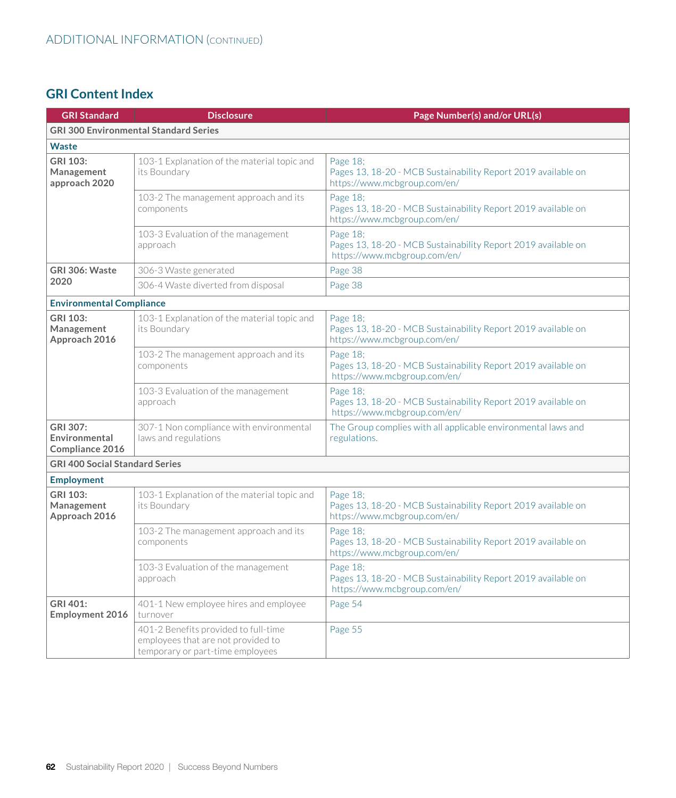| <b>GRI Standard</b>                          | <b>Disclosure</b>                                                                                              | Page Number(s) and/or URL(s)                                                                              |
|----------------------------------------------|----------------------------------------------------------------------------------------------------------------|-----------------------------------------------------------------------------------------------------------|
|                                              | <b>GRI 300 Environmental Standard Series</b>                                                                   |                                                                                                           |
| <b>Waste</b>                                 |                                                                                                                |                                                                                                           |
| GRI 103:<br>Management<br>approach 2020      | 103-1 Explanation of the material topic and<br>its Boundary                                                    | Page 18;<br>Pages 13, 18-20 - MCB Sustainability Report 2019 available on<br>https://www.mcbgroup.com/en/ |
|                                              | 103-2 The management approach and its<br>components                                                            | Page 18;<br>Pages 13, 18-20 - MCB Sustainability Report 2019 available on<br>https://www.mcbgroup.com/en/ |
|                                              | 103-3 Evaluation of the management<br>approach                                                                 | Page 18;<br>Pages 13, 18-20 - MCB Sustainability Report 2019 available on<br>https://www.mcbgroup.com/en/ |
| GRI 306: Waste                               | 306-3 Waste generated                                                                                          | Page 38                                                                                                   |
| 2020                                         | 306-4 Waste diverted from disposal                                                                             | Page 38                                                                                                   |
| <b>Environmental Compliance</b>              |                                                                                                                |                                                                                                           |
| GRI 103:<br>Management<br>Approach 2016      | 103-1 Explanation of the material topic and<br>its Boundary                                                    | Page 18;<br>Pages 13, 18-20 - MCB Sustainability Report 2019 available on<br>https://www.mcbgroup.com/en/ |
|                                              | 103-2 The management approach and its<br>components                                                            | Page 18;<br>Pages 13, 18-20 - MCB Sustainability Report 2019 available on<br>https://www.mcbgroup.com/en/ |
|                                              | 103-3 Evaluation of the management<br>approach                                                                 | Page 18;<br>Pages 13, 18-20 - MCB Sustainability Report 2019 available on<br>https://www.mcbgroup.com/en/ |
| GRI 307:<br>Environmental<br>Compliance 2016 | 307-1 Non compliance with environmental<br>laws and regulations                                                | The Group complies with all applicable environmental laws and<br>regulations.                             |
| <b>GRI 400 Social Standard Series</b>        |                                                                                                                |                                                                                                           |
| <b>Employment</b>                            |                                                                                                                |                                                                                                           |
| GRI 103:<br>Management<br>Approach 2016      | 103-1 Explanation of the material topic and<br>its Boundary                                                    | Page 18;<br>Pages 13, 18-20 - MCB Sustainability Report 2019 available on<br>https://www.mcbgroup.com/en/ |
|                                              | 103-2 The management approach and its<br>components                                                            | Page 18;<br>Pages 13, 18-20 - MCB Sustainability Report 2019 available on<br>https://www.mcbgroup.com/en/ |
|                                              | 103-3 Evaluation of the management<br>approach                                                                 | Page 18;<br>Pages 13, 18-20 - MCB Sustainability Report 2019 available on<br>https://www.mcbgroup.com/en/ |
| GRI 401:<br>Employment 2016                  | 401-1 New employee hires and employee<br>turnover                                                              | Page 54                                                                                                   |
|                                              | 401-2 Benefits provided to full-time<br>employees that are not provided to<br>temporary or part-time employees | Page 55                                                                                                   |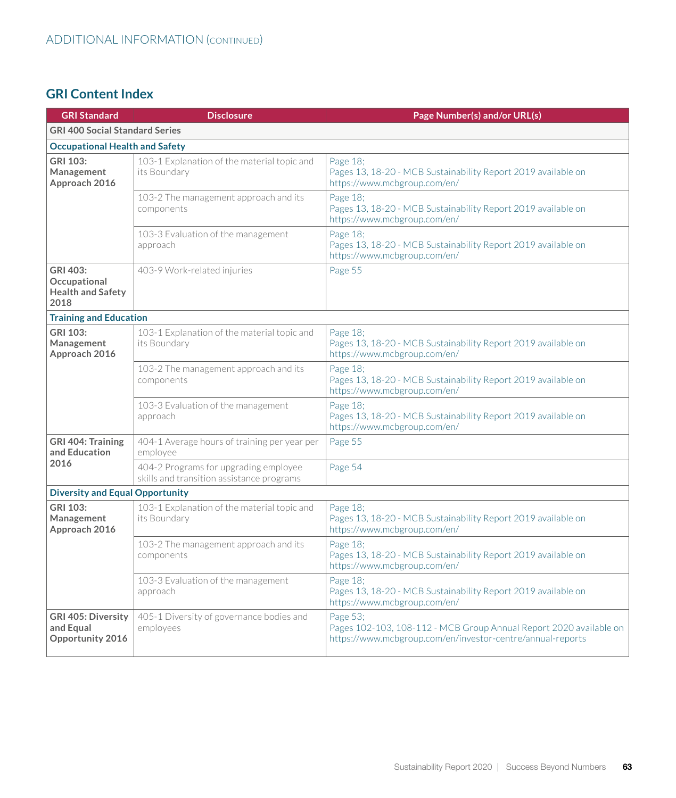| <b>GRI Standard</b>                                          | <b>Disclosure</b>                                                                  | Page Number(s) and/or URL(s)                                                                                                                 |
|--------------------------------------------------------------|------------------------------------------------------------------------------------|----------------------------------------------------------------------------------------------------------------------------------------------|
| <b>GRI 400 Social Standard Series</b>                        |                                                                                    |                                                                                                                                              |
| <b>Occupational Health and Safety</b>                        |                                                                                    |                                                                                                                                              |
| GRI 103:<br>Management<br>Approach 2016                      | 103-1 Explanation of the material topic and<br>its Boundary                        | Page 18;<br>Pages 13, 18-20 - MCB Sustainability Report 2019 available on<br>https://www.mcbgroup.com/en/                                    |
|                                                              | 103-2 The management approach and its<br>components                                | Page 18;<br>Pages 13, 18-20 - MCB Sustainability Report 2019 available on<br>https://www.mcbgroup.com/en/                                    |
|                                                              | 103-3 Evaluation of the management<br>approach                                     | Page 18;<br>Pages 13, 18-20 - MCB Sustainability Report 2019 available on<br>https://www.mcbgroup.com/en/                                    |
| GRI 403:<br>Occupational<br><b>Health and Safety</b><br>2018 | 403-9 Work-related injuries                                                        | Page 55                                                                                                                                      |
| <b>Training and Education</b>                                |                                                                                    |                                                                                                                                              |
| GRI 103:<br>Management<br>Approach 2016                      | 103-1 Explanation of the material topic and<br>its Boundary                        | Page 18;<br>Pages 13, 18-20 - MCB Sustainability Report 2019 available on<br>https://www.mcbgroup.com/en/                                    |
|                                                              | 103-2 The management approach and its<br>components                                | Page 18:<br>Pages 13, 18-20 - MCB Sustainability Report 2019 available on<br>https://www.mcbgroup.com/en/                                    |
|                                                              | 103-3 Evaluation of the management<br>approach                                     | Page 18;<br>Pages 13, 18-20 - MCB Sustainability Report 2019 available on<br>https://www.mcbgroup.com/en/                                    |
| <b>GRI 404: Training</b><br>and Education                    | 404-1 Average hours of training per year per<br>employee                           | Page 55                                                                                                                                      |
| 2016                                                         | 404-2 Programs for upgrading employee<br>skills and transition assistance programs | Page 54                                                                                                                                      |
| <b>Diversity and Equal Opportunity</b>                       |                                                                                    |                                                                                                                                              |
| GRI 103:<br>Management<br>Approach 2016                      | 103-1 Explanation of the material topic and<br>its Boundary                        | Page 18:<br>Pages 13, 18-20 - MCB Sustainability Report 2019 available on<br>https://www.mcbgroup.com/en/                                    |
|                                                              | 103-2 The management approach and its<br>components                                | Page 18:<br>Pages 13, 18-20 - MCB Sustainability Report 2019 available on<br>https://www.mcbgroup.com/en/                                    |
|                                                              | 103-3 Evaluation of the management<br>approach                                     | Page 18:<br>Pages 13, 18-20 - MCB Sustainability Report 2019 available on<br>https://www.mcbgroup.com/en/                                    |
| <b>GRI 405: Diversity</b><br>and Equal<br>Opportunity 2016   | 405-1 Diversity of governance bodies and<br>employees                              | Page 53:<br>Pages 102-103, 108-112 - MCB Group Annual Report 2020 available on<br>https://www.mcbgroup.com/en/investor-centre/annual-reports |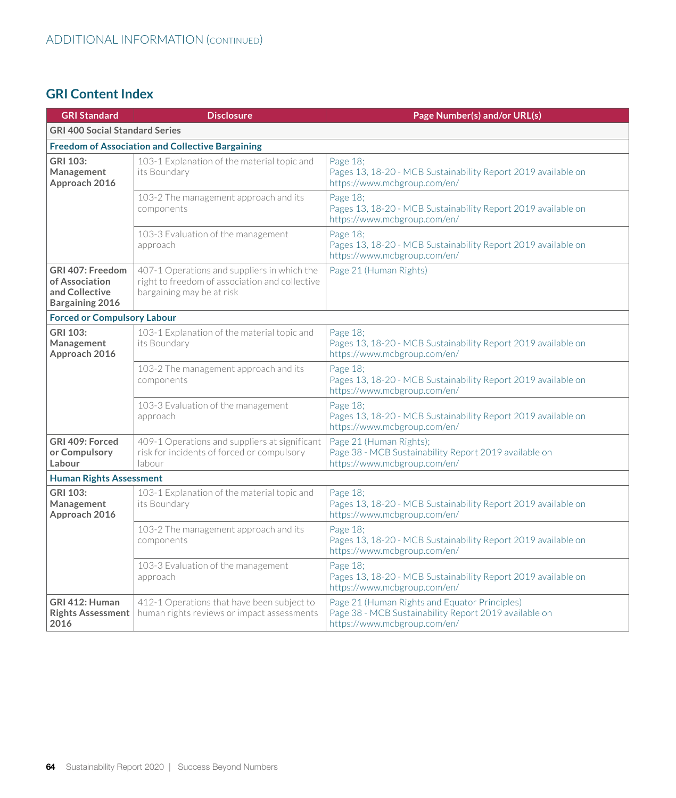| <b>GRI Standard</b>                                                            | <b>Disclosure</b>                                                                                                          | Page Number(s) and/or URL(s)                                                                                                           |  |
|--------------------------------------------------------------------------------|----------------------------------------------------------------------------------------------------------------------------|----------------------------------------------------------------------------------------------------------------------------------------|--|
| <b>GRI 400 Social Standard Series</b>                                          |                                                                                                                            |                                                                                                                                        |  |
|                                                                                | <b>Freedom of Association and Collective Bargaining</b>                                                                    |                                                                                                                                        |  |
| GRI 103:<br>Management<br>Approach 2016                                        | 103-1 Explanation of the material topic and<br>its Boundary                                                                | Page 18;<br>Pages 13, 18-20 - MCB Sustainability Report 2019 available on<br>https://www.mcbgroup.com/en/                              |  |
|                                                                                | 103-2 The management approach and its<br>components                                                                        | Page 18;<br>Pages 13, 18-20 - MCB Sustainability Report 2019 available on<br>https://www.mcbgroup.com/en/                              |  |
|                                                                                | 103-3 Evaluation of the management<br>approach                                                                             | Page 18;<br>Pages 13, 18-20 - MCB Sustainability Report 2019 available on<br>https://www.mcbgroup.com/en/                              |  |
| GRI 407: Freedom<br>of Association<br>and Collective<br><b>Bargaining 2016</b> | 407-1 Operations and suppliers in which the<br>right to freedom of association and collective<br>bargaining may be at risk | Page 21 (Human Rights)                                                                                                                 |  |
| <b>Forced or Compulsory Labour</b>                                             |                                                                                                                            |                                                                                                                                        |  |
| <b>GRI 103:</b><br>Management<br>Approach 2016                                 | 103-1 Explanation of the material topic and<br>its Boundary                                                                | Page 18;<br>Pages 13, 18-20 - MCB Sustainability Report 2019 available on<br>https://www.mcbgroup.com/en/                              |  |
|                                                                                | 103-2 The management approach and its<br>components                                                                        | Page 18;<br>Pages 13, 18-20 - MCB Sustainability Report 2019 available on<br>https://www.mcbgroup.com/en/                              |  |
|                                                                                | 103-3 Evaluation of the management<br>approach                                                                             | Page 18;<br>Pages 13, 18-20 - MCB Sustainability Report 2019 available on<br>https://www.mcbgroup.com/en/                              |  |
| GRI 409: Forced<br>or Compulsory<br>Labour                                     | 409-1 Operations and suppliers at significant<br>risk for incidents of forced or compulsory<br>labour                      | Page 21 (Human Rights);<br>Page 38 - MCB Sustainability Report 2019 available on<br>https://www.mcbgroup.com/en/                       |  |
| <b>Human Rights Assessment</b>                                                 |                                                                                                                            |                                                                                                                                        |  |
| GRI 103:<br>Management<br>Approach 2016                                        | 103-1 Explanation of the material topic and<br>its Boundary                                                                | Page 18;<br>Pages 13, 18-20 - MCB Sustainability Report 2019 available on<br>https://www.mcbgroup.com/en/                              |  |
|                                                                                | 103-2 The management approach and its<br>components                                                                        | Page 18;<br>Pages 13, 18-20 - MCB Sustainability Report 2019 available on<br>https://www.mcbgroup.com/en/                              |  |
|                                                                                | 103-3 Evaluation of the management<br>approach                                                                             | Page 18;<br>Pages 13, 18-20 - MCB Sustainability Report 2019 available on<br>https://www.mcbgroup.com/en/                              |  |
| GRI 412: Human<br><b>Rights Assessment</b><br>2016                             | 412-1 Operations that have been subject to<br>human rights reviews or impact assessments                                   | Page 21 (Human Rights and Equator Principles)<br>Page 38 - MCB Sustainability Report 2019 available on<br>https://www.mcbgroup.com/en/ |  |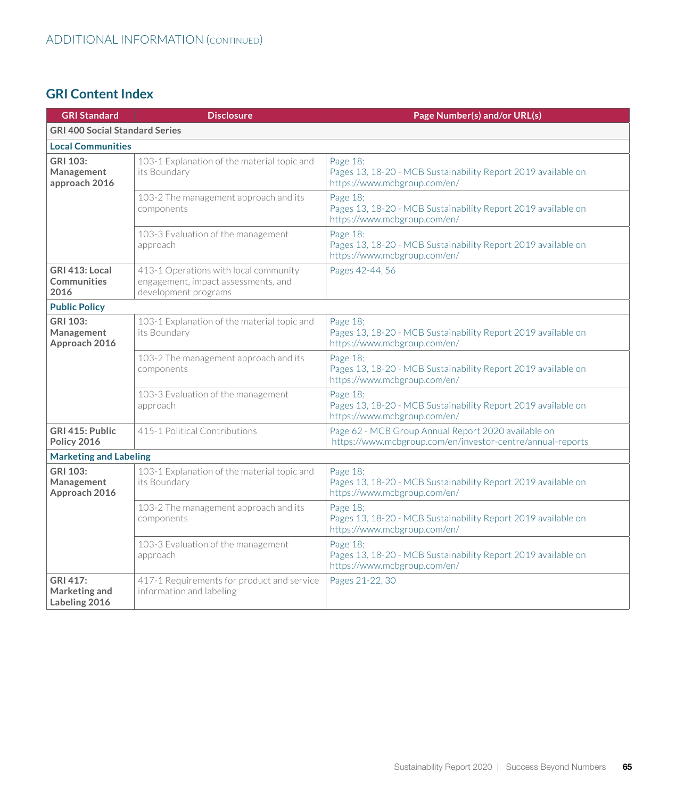| <b>GRI Standard</b>                            | <b>Disclosure</b>                                                                                    | Page Number(s) and/or URL(s)                                                                                      |
|------------------------------------------------|------------------------------------------------------------------------------------------------------|-------------------------------------------------------------------------------------------------------------------|
| <b>GRI 400 Social Standard Series</b>          |                                                                                                      |                                                                                                                   |
| <b>Local Communities</b>                       |                                                                                                      |                                                                                                                   |
| <b>GRI 103:</b><br>Management<br>approach 2016 | 103-1 Explanation of the material topic and<br>its Boundary                                          | Page 18;<br>Pages 13, 18-20 - MCB Sustainability Report 2019 available on<br>https://www.mcbgroup.com/en/         |
|                                                | 103-2 The management approach and its<br>components                                                  | Page 18:<br>Pages 13, 18-20 - MCB Sustainability Report 2019 available on<br>https://www.mcbgroup.com/en/         |
|                                                | 103-3 Evaluation of the management<br>approach                                                       | Page 18;<br>Pages 13, 18-20 - MCB Sustainability Report 2019 available on<br>https://www.mcbgroup.com/en/         |
| GRI 413: Local<br><b>Communities</b><br>2016   | 413-1 Operations with local community<br>engagement, impact assessments, and<br>development programs | Pages 42-44, 56                                                                                                   |
| <b>Public Policy</b>                           |                                                                                                      |                                                                                                                   |
| GRI 103:<br>Management<br>Approach 2016        | 103-1 Explanation of the material topic and<br>its Boundary                                          | Page 18;<br>Pages 13, 18-20 - MCB Sustainability Report 2019 available on<br>https://www.mcbgroup.com/en/         |
|                                                | 103-2 The management approach and its<br>components                                                  | Page 18;<br>Pages 13, 18-20 - MCB Sustainability Report 2019 available on<br>https://www.mcbgroup.com/en/         |
|                                                | 103-3 Evaluation of the management<br>approach                                                       | Page 18;<br>Pages 13, 18-20 - MCB Sustainability Report 2019 available on<br>https://www.mcbgroup.com/en/         |
| GRI 415: Public<br>Policy 2016                 | 415-1 Political Contributions                                                                        | Page 62 - MCB Group Annual Report 2020 available on<br>https://www.mcbgroup.com/en/investor-centre/annual-reports |
| <b>Marketing and Labeling</b>                  |                                                                                                      |                                                                                                                   |
| GRI 103:<br>Management<br>Approach 2016        | 103-1 Explanation of the material topic and<br>its Boundary                                          | Page 18;<br>Pages 13, 18-20 - MCB Sustainability Report 2019 available on<br>https://www.mcbgroup.com/en/         |
|                                                | 103-2 The management approach and its<br>components                                                  | Page 18;<br>Pages 13, 18-20 - MCB Sustainability Report 2019 available on<br>https://www.mcbgroup.com/en/         |
|                                                | 103-3 Evaluation of the management<br>approach                                                       | Page 18;<br>Pages 13, 18-20 - MCB Sustainability Report 2019 available on<br>https://www.mcbgroup.com/en/         |
| GRI 417:<br>Marketing and<br>Labeling 2016     | 417-1 Requirements for product and service<br>information and labeling                               | Pages 21-22, 30                                                                                                   |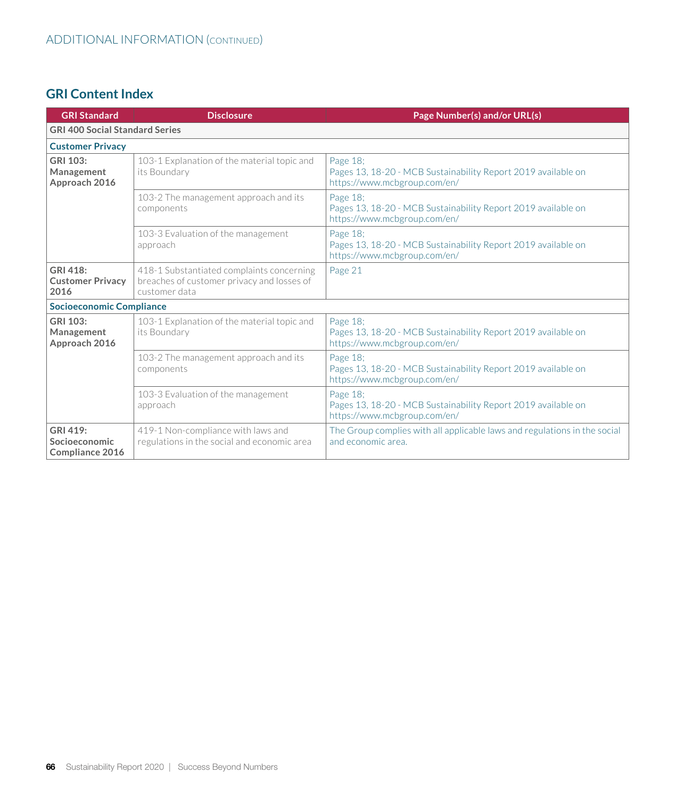| <b>GRI Standard</b>                          | <b>Disclosure</b>                                                                                        | Page Number(s) and/or URL(s)                                                                              |  |
|----------------------------------------------|----------------------------------------------------------------------------------------------------------|-----------------------------------------------------------------------------------------------------------|--|
|                                              | <b>GRI 400 Social Standard Series</b>                                                                    |                                                                                                           |  |
| <b>Customer Privacy</b>                      |                                                                                                          |                                                                                                           |  |
| GRI 103:<br>Management<br>Approach 2016      | 103-1 Explanation of the material topic and<br>its Boundary                                              | Page 18;<br>Pages 13, 18-20 - MCB Sustainability Report 2019 available on<br>https://www.mcbgroup.com/en/ |  |
|                                              | 103-2 The management approach and its<br>components                                                      | Page 18:<br>Pages 13, 18-20 - MCB Sustainability Report 2019 available on<br>https://www.mcbgroup.com/en/ |  |
|                                              | 103-3 Evaluation of the management<br>approach                                                           | Page 18:<br>Pages 13, 18-20 - MCB Sustainability Report 2019 available on<br>https://www.mcbgroup.com/en/ |  |
| GRI 418:<br><b>Customer Privacy</b><br>2016  | 418-1 Substantiated complaints concerning<br>breaches of customer privacy and losses of<br>customer data | Page 21                                                                                                   |  |
| <b>Socioeconomic Compliance</b>              |                                                                                                          |                                                                                                           |  |
| GRI 103:<br>Management<br>Approach 2016      | 103-1 Explanation of the material topic and<br>its Boundary                                              | Page 18;<br>Pages 13, 18-20 - MCB Sustainability Report 2019 available on<br>https://www.mcbgroup.com/en/ |  |
|                                              | 103-2 The management approach and its<br>components                                                      | Page 18;<br>Pages 13, 18-20 - MCB Sustainability Report 2019 available on<br>https://www.mcbgroup.com/en/ |  |
|                                              | 103-3 Evaluation of the management<br>approach                                                           | Page 18:<br>Pages 13, 18-20 - MCB Sustainability Report 2019 available on<br>https://www.mcbgroup.com/en/ |  |
| GRI 419:<br>Socioeconomic<br>Compliance 2016 | 419-1 Non-compliance with laws and<br>regulations in the social and economic area                        | The Group complies with all applicable laws and regulations in the social<br>and economic area.           |  |